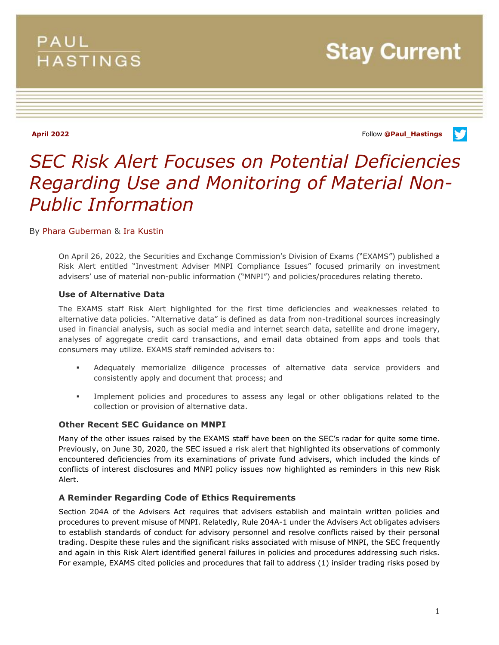## PAUL **HASTINGS**

**Stay Current** 

**April 2022** Follow **[@Paul\\_Hastings](http://twitter.com/Paul_Hastings)**

v

# *SEC Risk Alert Focuses on Potential Deficiencies Regarding Use and Monitoring of Material Non-Public Information*

### By [Phara Guberman](https://www.paulhastings.com/professionals/pharaguberman) & [Ira Kustin](https://www.paulhastings.com/professionals/irakustin)

On April 26, 2022, the Securities and Exchange Commission's Division of Exams ("EXAMS") published a Risk Alert entitled "Investment Adviser MNPI Compliance Issues" focused primarily on investment advisers' use of material non-public information ("MNPI") and policies/procedures relating thereto.

#### **Use of Alternative Data**

The EXAMS staff Risk Alert highlighted for the first time deficiencies and weaknesses related to alternative data policies. "Alternative data" is defined as data from non-traditional sources increasingly used in financial analysis, such as social media and internet search data, satellite and drone imagery, analyses of aggregate credit card transactions, and email data obtained from apps and tools that consumers may utilize. EXAMS staff reminded advisers to:

- Adequately memorialize diligence processes of alternative data service providers and consistently apply and document that process; and
- Implement policies and procedures to assess any legal or other obligations related to the collection or provision of alternative data.

#### **Other Recent SEC Guidance on MNPI**

Many of the other issues raised by the EXAMS staff have been on the SEC's radar for quite some time. Previously, on June 30, 2020, the SEC issued a risk alert that highlighted its observations of commonly encountered deficiencies from its examinations of private fund advisers, which included the kinds of conflicts of interest disclosures and MNPI policy issues now highlighted as reminders in this new Risk Alert.

#### **A Reminder Regarding Code of Ethics Requirements**

Section 204A of the Advisers Act requires that advisers establish and maintain written policies and procedures to prevent misuse of MNPI. Relatedly, Rule 204A-1 under the Advisers Act obligates advisers to establish standards of conduct for advisory personnel and resolve conflicts raised by their personal trading. Despite these rules and the significant risks associated with misuse of MNPI, the SEC frequently and again in this Risk Alert identified general failures in policies and procedures addressing such risks. For example, EXAMS cited policies and procedures that fail to address (1) insider trading risks posed by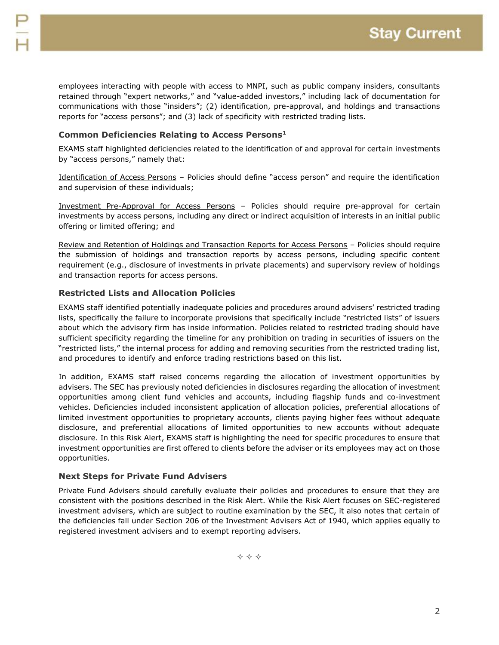employees interacting with people with access to MNPI, such as public company insiders, consultants retained through "expert networks," and "value-added investors," including lack of documentation for communications with those "insiders"; (2) identification, pre-approval, and holdings and transactions reports for "access persons"; and (3) lack of specificity with restricted trading lists.

### **Common Deficiencies Relating to Access Persons<sup>1</sup>**

EXAMS staff highlighted deficiencies related to the identification of and approval for certain investments by "access persons," namely that:

Identification of Access Persons – Policies should define "access person" and require the identification and supervision of these individuals;

Investment Pre-Approval for Access Persons – Policies should require pre-approval for certain investments by access persons, including any direct or indirect acquisition of interests in an initial public offering or limited offering; and

Review and Retention of Holdings and Transaction Reports for Access Persons – Policies should require the submission of holdings and transaction reports by access persons, including specific content requirement (e.g., disclosure of investments in private placements) and supervisory review of holdings and transaction reports for access persons.

#### **Restricted Lists and Allocation Policies**

EXAMS staff identified potentially inadequate policies and procedures around advisers' restricted trading lists, specifically the failure to incorporate provisions that specifically include "restricted lists" of issuers about which the advisory firm has inside information. Policies related to restricted trading should have sufficient specificity regarding the timeline for any prohibition on trading in securities of issuers on the "restricted lists," the internal process for adding and removing securities from the restricted trading list, and procedures to identify and enforce trading restrictions based on this list.

In addition, EXAMS staff raised concerns regarding the allocation of investment opportunities by advisers. The SEC has previously noted deficiencies in disclosures regarding the allocation of investment opportunities among client fund vehicles and accounts, including flagship funds and co-investment vehicles. Deficiencies included inconsistent application of allocation policies, preferential allocations of limited investment opportunities to proprietary accounts, clients paying higher fees without adequate disclosure, and preferential allocations of limited opportunities to new accounts without adequate disclosure. In this Risk Alert, EXAMS staff is highlighting the need for specific procedures to ensure that investment opportunities are first offered to clients before the adviser or its employees may act on those opportunities.

#### **Next Steps for Private Fund Advisers**

Private Fund Advisers should carefully evaluate their policies and procedures to ensure that they are consistent with the positions described in the Risk Alert. While the Risk Alert focuses on SEC-registered investment advisers, which are subject to routine examination by the SEC, it also notes that certain of the deficiencies fall under Section 206 of the Investment Advisers Act of 1940, which applies equally to registered investment advisers and to exempt reporting advisers.

 $\Leftrightarrow$   $\Leftrightarrow$   $\Leftrightarrow$